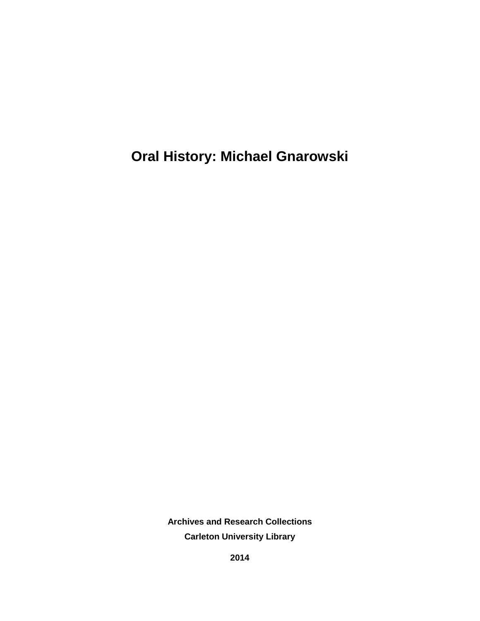**Oral History: Michael Gnarowski**

**Archives and Research Collections Carleton University Library**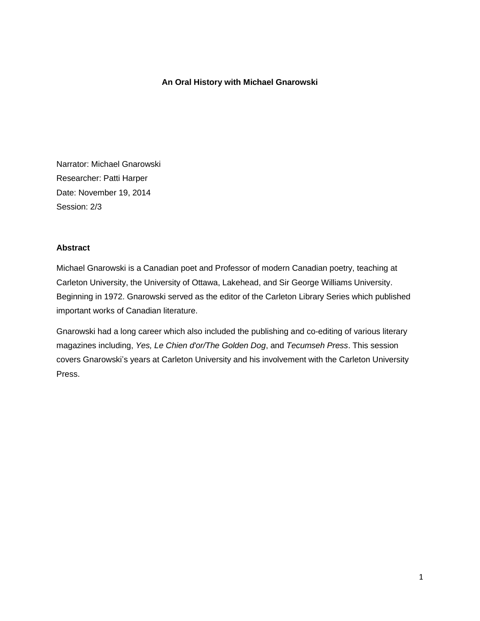### **An Oral History with Michael Gnarowski**

Narrator: Michael Gnarowski Researcher: Patti Harper Date: November 19, 2014 Session: 2/3

#### **Abstract**

Michael Gnarowski is a Canadian poet and Professor of modern Canadian poetry, teaching at Carleton University, the University of Ottawa, Lakehead, and Sir George Williams University. Beginning in 1972. Gnarowski served as the editor of the Carleton Library Series which published important works of Canadian literature.

Gnarowski had a long career which also included the publishing and co-editing of various literary magazines including, *Yes, Le Chien d'or/The Golden Dog*, and *Tecumseh Press*. This session covers Gnarowski's years at Carleton University and his involvement with the Carleton University Press.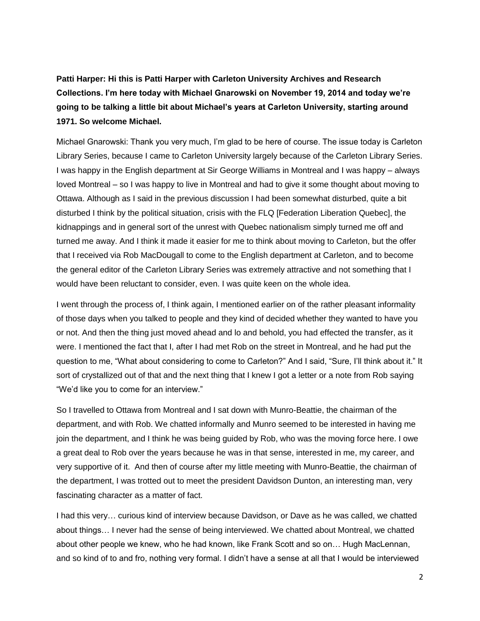**Patti Harper: Hi this is Patti Harper with Carleton University Archives and Research Collections. I'm here today with Michael Gnarowski on November 19, 2014 and today we're going to be talking a little bit about Michael's years at Carleton University, starting around 1971. So welcome Michael.**

Michael Gnarowski: Thank you very much, I'm glad to be here of course. The issue today is Carleton Library Series, because I came to Carleton University largely because of the Carleton Library Series. I was happy in the English department at Sir George Williams in Montreal and I was happy – always loved Montreal – so I was happy to live in Montreal and had to give it some thought about moving to Ottawa. Although as I said in the previous discussion I had been somewhat disturbed, quite a bit disturbed I think by the political situation, crisis with the FLQ [Federation Liberation Quebec], the kidnappings and in general sort of the unrest with Quebec nationalism simply turned me off and turned me away. And I think it made it easier for me to think about moving to Carleton, but the offer that I received via Rob MacDougall to come to the English department at Carleton, and to become the general editor of the Carleton Library Series was extremely attractive and not something that I would have been reluctant to consider, even. I was quite keen on the whole idea.

I went through the process of, I think again, I mentioned earlier on of the rather pleasant informality of those days when you talked to people and they kind of decided whether they wanted to have you or not. And then the thing just moved ahead and lo and behold, you had effected the transfer, as it were. I mentioned the fact that I, after I had met Rob on the street in Montreal, and he had put the question to me, "What about considering to come to Carleton?" And I said, "Sure, I'll think about it." It sort of crystallized out of that and the next thing that I knew I got a letter or a note from Rob saying "We'd like you to come for an interview."

So I travelled to Ottawa from Montreal and I sat down with Munro-Beattie, the chairman of the department, and with Rob. We chatted informally and Munro seemed to be interested in having me join the department, and I think he was being guided by Rob, who was the moving force here. I owe a great deal to Rob over the years because he was in that sense, interested in me, my career, and very supportive of it. And then of course after my little meeting with Munro-Beattie, the chairman of the department, I was trotted out to meet the president Davidson Dunton, an interesting man, very fascinating character as a matter of fact.

I had this very… curious kind of interview because Davidson, or Dave as he was called, we chatted about things… I never had the sense of being interviewed. We chatted about Montreal, we chatted about other people we knew, who he had known, like Frank Scott and so on… Hugh MacLennan, and so kind of to and fro, nothing very formal. I didn't have a sense at all that I would be interviewed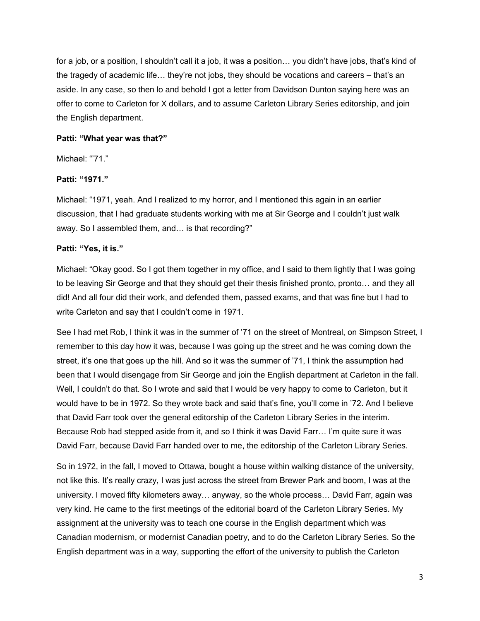for a job, or a position, I shouldn't call it a job, it was a position… you didn't have jobs, that's kind of the tragedy of academic life… they're not jobs, they should be vocations and careers – that's an aside. In any case, so then lo and behold I got a letter from Davidson Dunton saying here was an offer to come to Carleton for X dollars, and to assume Carleton Library Series editorship, and join the English department.

### **Patti: "What year was that?"**

Michael: "71."

### **Patti: "1971."**

Michael: "1971, yeah. And I realized to my horror, and I mentioned this again in an earlier discussion, that I had graduate students working with me at Sir George and I couldn't just walk away. So I assembled them, and… is that recording?"

### **Patti: "Yes, it is."**

Michael: "Okay good. So I got them together in my office, and I said to them lightly that I was going to be leaving Sir George and that they should get their thesis finished pronto, pronto… and they all did! And all four did their work, and defended them, passed exams, and that was fine but I had to write Carleton and say that I couldn't come in 1971.

See I had met Rob, I think it was in the summer of '71 on the street of Montreal, on Simpson Street, I remember to this day how it was, because I was going up the street and he was coming down the street, it's one that goes up the hill. And so it was the summer of '71, I think the assumption had been that I would disengage from Sir George and join the English department at Carleton in the fall. Well, I couldn't do that. So I wrote and said that I would be very happy to come to Carleton, but it would have to be in 1972. So they wrote back and said that's fine, you'll come in '72. And I believe that David Farr took over the general editorship of the Carleton Library Series in the interim. Because Rob had stepped aside from it, and so I think it was David Farr… I'm quite sure it was David Farr, because David Farr handed over to me, the editorship of the Carleton Library Series.

So in 1972, in the fall, I moved to Ottawa, bought a house within walking distance of the university, not like this. It's really crazy, I was just across the street from Brewer Park and boom, I was at the university. I moved fifty kilometers away… anyway, so the whole process… David Farr, again was very kind. He came to the first meetings of the editorial board of the Carleton Library Series. My assignment at the university was to teach one course in the English department which was Canadian modernism, or modernist Canadian poetry, and to do the Carleton Library Series. So the English department was in a way, supporting the effort of the university to publish the Carleton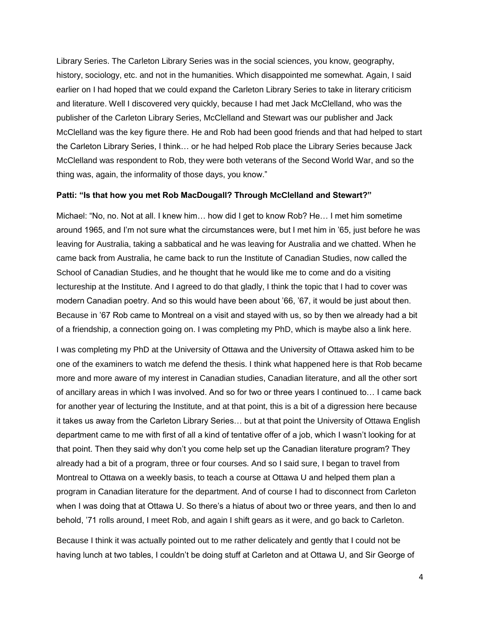Library Series. The Carleton Library Series was in the social sciences, you know, geography, history, sociology, etc. and not in the humanities. Which disappointed me somewhat. Again, I said earlier on I had hoped that we could expand the Carleton Library Series to take in literary criticism and literature. Well I discovered very quickly, because I had met Jack McClelland, who was the publisher of the Carleton Library Series, McClelland and Stewart was our publisher and Jack McClelland was the key figure there. He and Rob had been good friends and that had helped to start the Carleton Library Series, I think… or he had helped Rob place the Library Series because Jack McClelland was respondent to Rob, they were both veterans of the Second World War, and so the thing was, again, the informality of those days, you know."

#### **Patti: "Is that how you met Rob MacDougall? Through McClelland and Stewart?"**

Michael: "No, no. Not at all. I knew him… how did I get to know Rob? He… I met him sometime around 1965, and I'm not sure what the circumstances were, but I met him in '65, just before he was leaving for Australia, taking a sabbatical and he was leaving for Australia and we chatted. When he came back from Australia, he came back to run the Institute of Canadian Studies, now called the School of Canadian Studies, and he thought that he would like me to come and do a visiting lectureship at the Institute. And I agreed to do that gladly, I think the topic that I had to cover was modern Canadian poetry. And so this would have been about '66, '67, it would be just about then. Because in '67 Rob came to Montreal on a visit and stayed with us, so by then we already had a bit of a friendship, a connection going on. I was completing my PhD, which is maybe also a link here.

I was completing my PhD at the University of Ottawa and the University of Ottawa asked him to be one of the examiners to watch me defend the thesis. I think what happened here is that Rob became more and more aware of my interest in Canadian studies, Canadian literature, and all the other sort of ancillary areas in which I was involved. And so for two or three years I continued to… I came back for another year of lecturing the Institute, and at that point, this is a bit of a digression here because it takes us away from the Carleton Library Series… but at that point the University of Ottawa English department came to me with first of all a kind of tentative offer of a job, which I wasn't looking for at that point. Then they said why don't you come help set up the Canadian literature program? They already had a bit of a program, three or four courses. And so I said sure, I began to travel from Montreal to Ottawa on a weekly basis, to teach a course at Ottawa U and helped them plan a program in Canadian literature for the department. And of course I had to disconnect from Carleton when I was doing that at Ottawa U. So there's a hiatus of about two or three years, and then lo and behold, '71 rolls around, I meet Rob, and again I shift gears as it were, and go back to Carleton.

Because I think it was actually pointed out to me rather delicately and gently that I could not be having lunch at two tables, I couldn't be doing stuff at Carleton and at Ottawa U, and Sir George of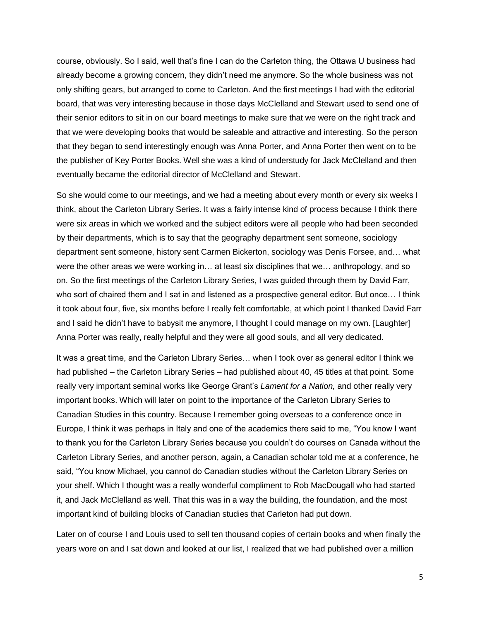course, obviously. So I said, well that's fine I can do the Carleton thing, the Ottawa U business had already become a growing concern, they didn't need me anymore. So the whole business was not only shifting gears, but arranged to come to Carleton. And the first meetings I had with the editorial board, that was very interesting because in those days McClelland and Stewart used to send one of their senior editors to sit in on our board meetings to make sure that we were on the right track and that we were developing books that would be saleable and attractive and interesting. So the person that they began to send interestingly enough was Anna Porter, and Anna Porter then went on to be the publisher of Key Porter Books. Well she was a kind of understudy for Jack McClelland and then eventually became the editorial director of McClelland and Stewart.

So she would come to our meetings, and we had a meeting about every month or every six weeks I think, about the Carleton Library Series. It was a fairly intense kind of process because I think there were six areas in which we worked and the subject editors were all people who had been seconded by their departments, which is to say that the geography department sent someone, sociology department sent someone, history sent Carmen Bickerton, sociology was Denis Forsee, and… what were the other areas we were working in… at least six disciplines that we… anthropology, and so on. So the first meetings of the Carleton Library Series, I was guided through them by David Farr, who sort of chaired them and I sat in and listened as a prospective general editor. But once... I think it took about four, five, six months before I really felt comfortable, at which point I thanked David Farr and I said he didn't have to babysit me anymore, I thought I could manage on my own. [Laughter] Anna Porter was really, really helpful and they were all good souls, and all very dedicated.

It was a great time, and the Carleton Library Series… when I took over as general editor I think we had published – the Carleton Library Series – had published about 40, 45 titles at that point. Some really very important seminal works like George Grant's *Lament for a Nation,* and other really very important books. Which will later on point to the importance of the Carleton Library Series to Canadian Studies in this country. Because I remember going overseas to a conference once in Europe, I think it was perhaps in Italy and one of the academics there said to me, "You know I want to thank you for the Carleton Library Series because you couldn't do courses on Canada without the Carleton Library Series, and another person, again, a Canadian scholar told me at a conference, he said, "You know Michael, you cannot do Canadian studies without the Carleton Library Series on your shelf. Which I thought was a really wonderful compliment to Rob MacDougall who had started it, and Jack McClelland as well. That this was in a way the building, the foundation, and the most important kind of building blocks of Canadian studies that Carleton had put down.

Later on of course I and Louis used to sell ten thousand copies of certain books and when finally the years wore on and I sat down and looked at our list, I realized that we had published over a million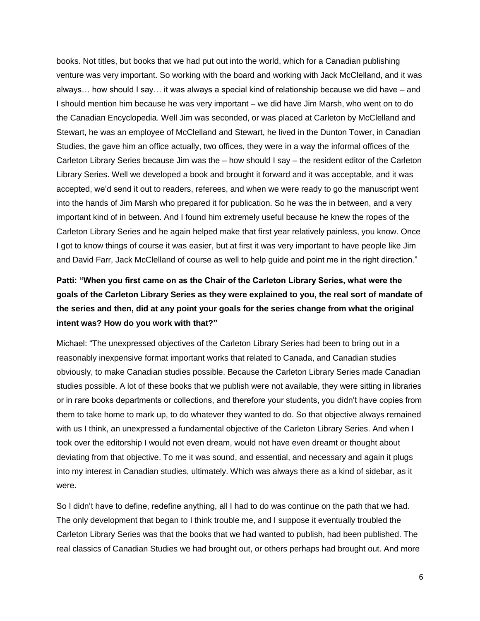books. Not titles, but books that we had put out into the world, which for a Canadian publishing venture was very important. So working with the board and working with Jack McClelland, and it was always… how should I say… it was always a special kind of relationship because we did have – and I should mention him because he was very important – we did have Jim Marsh, who went on to do the Canadian Encyclopedia. Well Jim was seconded, or was placed at Carleton by McClelland and Stewart, he was an employee of McClelland and Stewart, he lived in the Dunton Tower, in Canadian Studies, the gave him an office actually, two offices, they were in a way the informal offices of the Carleton Library Series because Jim was the – how should I say – the resident editor of the Carleton Library Series. Well we developed a book and brought it forward and it was acceptable, and it was accepted, we'd send it out to readers, referees, and when we were ready to go the manuscript went into the hands of Jim Marsh who prepared it for publication. So he was the in between, and a very important kind of in between. And I found him extremely useful because he knew the ropes of the Carleton Library Series and he again helped make that first year relatively painless, you know. Once I got to know things of course it was easier, but at first it was very important to have people like Jim and David Farr, Jack McClelland of course as well to help guide and point me in the right direction."

# **Patti: "When you first came on as the Chair of the Carleton Library Series, what were the goals of the Carleton Library Series as they were explained to you, the real sort of mandate of the series and then, did at any point your goals for the series change from what the original intent was? How do you work with that?"**

Michael: "The unexpressed objectives of the Carleton Library Series had been to bring out in a reasonably inexpensive format important works that related to Canada, and Canadian studies obviously, to make Canadian studies possible. Because the Carleton Library Series made Canadian studies possible. A lot of these books that we publish were not available, they were sitting in libraries or in rare books departments or collections, and therefore your students, you didn't have copies from them to take home to mark up, to do whatever they wanted to do. So that objective always remained with us I think, an unexpressed a fundamental objective of the Carleton Library Series. And when I took over the editorship I would not even dream, would not have even dreamt or thought about deviating from that objective. To me it was sound, and essential, and necessary and again it plugs into my interest in Canadian studies, ultimately. Which was always there as a kind of sidebar, as it were.

So I didn't have to define, redefine anything, all I had to do was continue on the path that we had. The only development that began to I think trouble me, and I suppose it eventually troubled the Carleton Library Series was that the books that we had wanted to publish, had been published. The real classics of Canadian Studies we had brought out, or others perhaps had brought out. And more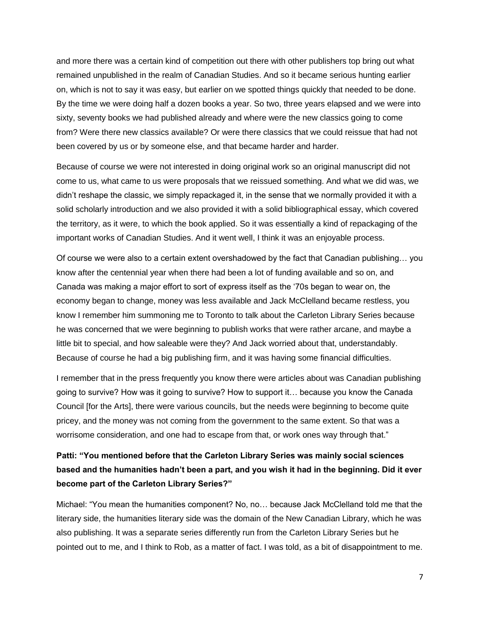and more there was a certain kind of competition out there with other publishers top bring out what remained unpublished in the realm of Canadian Studies. And so it became serious hunting earlier on, which is not to say it was easy, but earlier on we spotted things quickly that needed to be done. By the time we were doing half a dozen books a year. So two, three years elapsed and we were into sixty, seventy books we had published already and where were the new classics going to come from? Were there new classics available? Or were there classics that we could reissue that had not been covered by us or by someone else, and that became harder and harder.

Because of course we were not interested in doing original work so an original manuscript did not come to us, what came to us were proposals that we reissued something. And what we did was, we didn't reshape the classic, we simply repackaged it, in the sense that we normally provided it with a solid scholarly introduction and we also provided it with a solid bibliographical essay, which covered the territory, as it were, to which the book applied. So it was essentially a kind of repackaging of the important works of Canadian Studies. And it went well, I think it was an enjoyable process.

Of course we were also to a certain extent overshadowed by the fact that Canadian publishing… you know after the centennial year when there had been a lot of funding available and so on, and Canada was making a major effort to sort of express itself as the '70s began to wear on, the economy began to change, money was less available and Jack McClelland became restless, you know I remember him summoning me to Toronto to talk about the Carleton Library Series because he was concerned that we were beginning to publish works that were rather arcane, and maybe a little bit to special, and how saleable were they? And Jack worried about that, understandably. Because of course he had a big publishing firm, and it was having some financial difficulties.

I remember that in the press frequently you know there were articles about was Canadian publishing going to survive? How was it going to survive? How to support it… because you know the Canada Council [for the Arts], there were various councils, but the needs were beginning to become quite pricey, and the money was not coming from the government to the same extent. So that was a worrisome consideration, and one had to escape from that, or work ones way through that."

## **Patti: "You mentioned before that the Carleton Library Series was mainly social sciences based and the humanities hadn't been a part, and you wish it had in the beginning. Did it ever become part of the Carleton Library Series?"**

Michael: "You mean the humanities component? No, no… because Jack McClelland told me that the literary side, the humanities literary side was the domain of the New Canadian Library, which he was also publishing. It was a separate series differently run from the Carleton Library Series but he pointed out to me, and I think to Rob, as a matter of fact. I was told, as a bit of disappointment to me.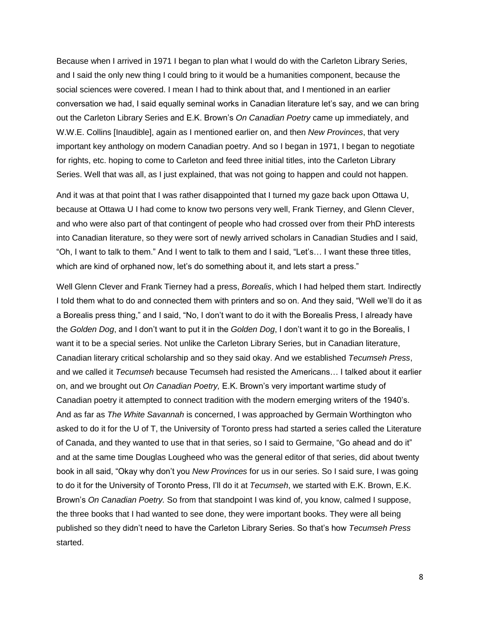Because when I arrived in 1971 I began to plan what I would do with the Carleton Library Series, and I said the only new thing I could bring to it would be a humanities component, because the social sciences were covered. I mean I had to think about that, and I mentioned in an earlier conversation we had, I said equally seminal works in Canadian literature let's say, and we can bring out the Carleton Library Series and E.K. Brown's *On Canadian Poetry* came up immediately, and W.W.E. Collins [Inaudible], again as I mentioned earlier on, and then *New Provinces*, that very important key anthology on modern Canadian poetry. And so I began in 1971, I began to negotiate for rights, etc. hoping to come to Carleton and feed three initial titles, into the Carleton Library Series. Well that was all, as I just explained, that was not going to happen and could not happen.

And it was at that point that I was rather disappointed that I turned my gaze back upon Ottawa U, because at Ottawa U I had come to know two persons very well, Frank Tierney, and Glenn Clever, and who were also part of that contingent of people who had crossed over from their PhD interests into Canadian literature, so they were sort of newly arrived scholars in Canadian Studies and I said, "Oh, I want to talk to them." And I went to talk to them and I said, "Let's… I want these three titles, which are kind of orphaned now, let's do something about it, and lets start a press."

Well Glenn Clever and Frank Tierney had a press, *Borealis*, which I had helped them start. Indirectly I told them what to do and connected them with printers and so on. And they said, "Well we'll do it as a Borealis press thing," and I said, "No, I don't want to do it with the Borealis Press, I already have the *Golden Dog*, and I don't want to put it in the *Golden Dog*, I don't want it to go in the Borealis, I want it to be a special series. Not unlike the Carleton Library Series, but in Canadian literature, Canadian literary critical scholarship and so they said okay. And we established *Tecumseh Press*, and we called it *Tecumseh* because Tecumseh had resisted the Americans… I talked about it earlier on, and we brought out *On Canadian Poetry,* E.K. Brown's very important wartime study of Canadian poetry it attempted to connect tradition with the modern emerging writers of the 1940's. And as far as *The White Savannah* is concerned, I was approached by Germain Worthington who asked to do it for the U of T, the University of Toronto press had started a series called the Literature of Canada, and they wanted to use that in that series, so I said to Germaine, "Go ahead and do it" and at the same time Douglas Lougheed who was the general editor of that series, did about twenty book in all said, "Okay why don't you *New Provinces* for us in our series. So I said sure, I was going to do it for the University of Toronto Press, I'll do it at *Tecumseh*, we started with E.K. Brown, E.K. Brown's *On Canadian Poetry.* So from that standpoint I was kind of, you know, calmed I suppose, the three books that I had wanted to see done, they were important books. They were all being published so they didn't need to have the Carleton Library Series. So that's how *Tecumseh Press* started.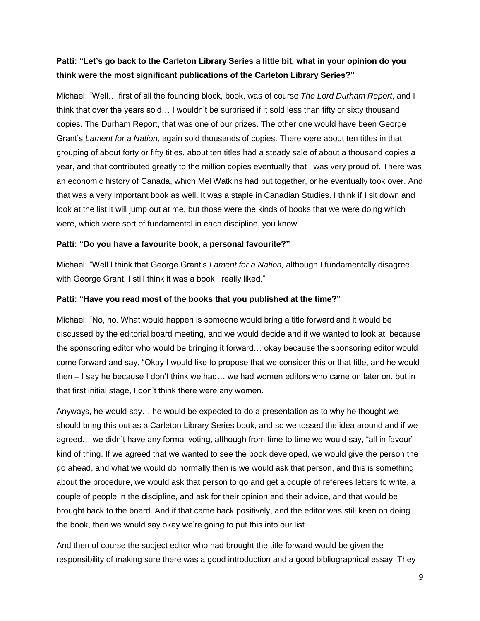### **Patti: "Let's go back to the Carleton Library Series a little bit, what in your opinion do you think were the most significant publications of the Carleton Library Series?"**

Michael: "Well… first of all the founding block, book, was of course *The Lord Durham Report*, and I think that over the years sold… I wouldn't be surprised if it sold less than fifty or sixty thousand copies. The Durham Report, that was one of our prizes. The other one would have been George Grant's *Lament for a Nation,* again sold thousands of copies. There were about ten titles in that grouping of about forty or fifty titles, about ten titles had a steady sale of about a thousand copies a year, and that contributed greatly to the million copies eventually that I was very proud of. There was an economic history of Canada, which Mel Watkins had put together, or he eventually took over. And that was a very important book as well. It was a staple in Canadian Studies. I think if I sit down and look at the list it will jump out at me, but those were the kinds of books that we were doing which were, which were sort of fundamental in each discipline, you know.

### **Patti: "Do you have a favourite book, a personal favourite?"**

Michael: "Well I think that George Grant's *Lament for a Nation,* although I fundamentally disagree with George Grant, I still think it was a book I really liked."

### **Patti: "Have you read most of the books that you published at the time?"**

Michael: "No, no. What would happen is someone would bring a title forward and it would be discussed by the editorial board meeting, and we would decide and if we wanted to look at, because the sponsoring editor who would be bringing it forward… okay because the sponsoring editor would come forward and say, "Okay I would like to propose that we consider this or that title, and he would then – I say he because I don't think we had… we had women editors who came on later on, but in that first initial stage, I don't think there were any women.

Anyways, he would say… he would be expected to do a presentation as to why he thought we should bring this out as a Carleton Library Series book, and so we tossed the idea around and if we agreed… we didn't have any formal voting, although from time to time we would say, "all in favour" kind of thing. If we agreed that we wanted to see the book developed, we would give the person the go ahead, and what we would do normally then is we would ask that person, and this is something about the procedure, we would ask that person to go and get a couple of referees letters to write, a couple of people in the discipline, and ask for their opinion and their advice, and that would be brought back to the board. And if that came back positively, and the editor was still keen on doing the book, then we would say okay we're going to put this into our list.

And then of course the subject editor who had brought the title forward would be given the responsibility of making sure there was a good introduction and a good bibliographical essay. They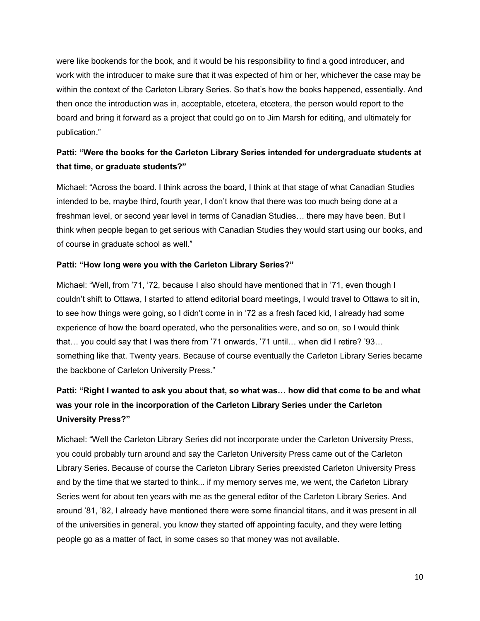were like bookends for the book, and it would be his responsibility to find a good introducer, and work with the introducer to make sure that it was expected of him or her, whichever the case may be within the context of the Carleton Library Series. So that's how the books happened, essentially. And then once the introduction was in, acceptable, etcetera, etcetera, the person would report to the board and bring it forward as a project that could go on to Jim Marsh for editing, and ultimately for publication."

## **Patti: "Were the books for the Carleton Library Series intended for undergraduate students at that time, or graduate students?"**

Michael: "Across the board. I think across the board, I think at that stage of what Canadian Studies intended to be, maybe third, fourth year, I don't know that there was too much being done at a freshman level, or second year level in terms of Canadian Studies… there may have been. But I think when people began to get serious with Canadian Studies they would start using our books, and of course in graduate school as well."

### **Patti: "How long were you with the Carleton Library Series?"**

Michael: "Well, from '71, '72, because I also should have mentioned that in '71, even though I couldn't shift to Ottawa, I started to attend editorial board meetings, I would travel to Ottawa to sit in, to see how things were going, so I didn't come in in '72 as a fresh faced kid, I already had some experience of how the board operated, who the personalities were, and so on, so I would think that… you could say that I was there from '71 onwards, '71 until… when did I retire? '93… something like that. Twenty years. Because of course eventually the Carleton Library Series became the backbone of Carleton University Press."

# **Patti: "Right I wanted to ask you about that, so what was… how did that come to be and what was your role in the incorporation of the Carleton Library Series under the Carleton University Press?"**

Michael: "Well the Carleton Library Series did not incorporate under the Carleton University Press, you could probably turn around and say the Carleton University Press came out of the Carleton Library Series. Because of course the Carleton Library Series preexisted Carleton University Press and by the time that we started to think... if my memory serves me, we went, the Carleton Library Series went for about ten years with me as the general editor of the Carleton Library Series. And around '81, '82, I already have mentioned there were some financial titans, and it was present in all of the universities in general, you know they started off appointing faculty, and they were letting people go as a matter of fact, in some cases so that money was not available.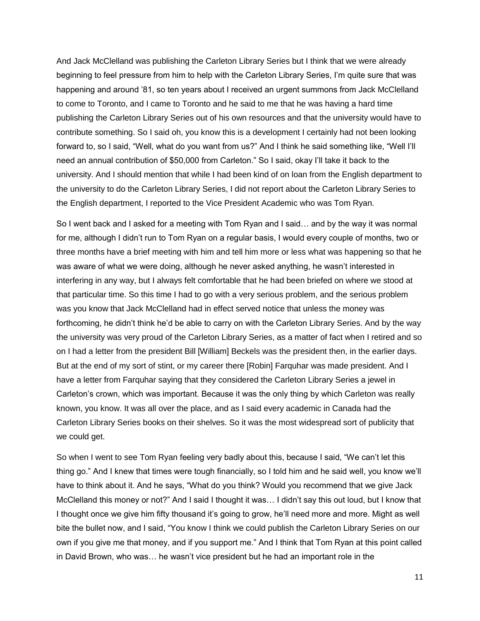And Jack McClelland was publishing the Carleton Library Series but I think that we were already beginning to feel pressure from him to help with the Carleton Library Series, I'm quite sure that was happening and around '81, so ten years about I received an urgent summons from Jack McClelland to come to Toronto, and I came to Toronto and he said to me that he was having a hard time publishing the Carleton Library Series out of his own resources and that the university would have to contribute something. So I said oh, you know this is a development I certainly had not been looking forward to, so I said, "Well, what do you want from us?" And I think he said something like, "Well I'll need an annual contribution of \$50,000 from Carleton." So I said, okay I'll take it back to the university. And I should mention that while I had been kind of on loan from the English department to the university to do the Carleton Library Series, I did not report about the Carleton Library Series to the English department, I reported to the Vice President Academic who was Tom Ryan.

So I went back and I asked for a meeting with Tom Ryan and I said… and by the way it was normal for me, although I didn't run to Tom Ryan on a regular basis, I would every couple of months, two or three months have a brief meeting with him and tell him more or less what was happening so that he was aware of what we were doing, although he never asked anything, he wasn't interested in interfering in any way, but I always felt comfortable that he had been briefed on where we stood at that particular time. So this time I had to go with a very serious problem, and the serious problem was you know that Jack McClelland had in effect served notice that unless the money was forthcoming, he didn't think he'd be able to carry on with the Carleton Library Series. And by the way the university was very proud of the Carleton Library Series, as a matter of fact when I retired and so on I had a letter from the president Bill [William] Beckels was the president then, in the earlier days. But at the end of my sort of stint, or my career there [Robin] Farquhar was made president. And I have a letter from Farquhar saying that they considered the Carleton Library Series a jewel in Carleton's crown, which was important. Because it was the only thing by which Carleton was really known, you know. It was all over the place, and as I said every academic in Canada had the Carleton Library Series books on their shelves. So it was the most widespread sort of publicity that we could get.

So when I went to see Tom Ryan feeling very badly about this, because I said, "We can't let this thing go." And I knew that times were tough financially, so I told him and he said well, you know we'll have to think about it. And he says, "What do you think? Would you recommend that we give Jack McClelland this money or not?" And I said I thought it was… I didn't say this out loud, but I know that I thought once we give him fifty thousand it's going to grow, he'll need more and more. Might as well bite the bullet now, and I said, "You know I think we could publish the Carleton Library Series on our own if you give me that money, and if you support me." And I think that Tom Ryan at this point called in David Brown, who was… he wasn't vice president but he had an important role in the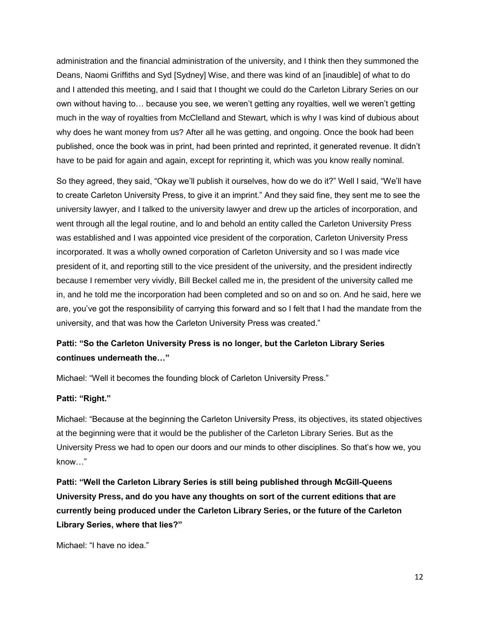administration and the financial administration of the university, and I think then they summoned the Deans, Naomi Griffiths and Syd [Sydney] Wise, and there was kind of an [inaudible] of what to do and I attended this meeting, and I said that I thought we could do the Carleton Library Series on our own without having to… because you see, we weren't getting any royalties, well we weren't getting much in the way of royalties from McClelland and Stewart, which is why I was kind of dubious about why does he want money from us? After all he was getting, and ongoing. Once the book had been published, once the book was in print, had been printed and reprinted, it generated revenue. It didn't have to be paid for again and again, except for reprinting it, which was you know really nominal.

So they agreed, they said, "Okay we'll publish it ourselves, how do we do it?" Well I said, "We'll have to create Carleton University Press, to give it an imprint." And they said fine, they sent me to see the university lawyer, and I talked to the university lawyer and drew up the articles of incorporation, and went through all the legal routine, and lo and behold an entity called the Carleton University Press was established and I was appointed vice president of the corporation, Carleton University Press incorporated. It was a wholly owned corporation of Carleton University and so I was made vice president of it, and reporting still to the vice president of the university, and the president indirectly because I remember very vividly, Bill Beckel called me in, the president of the university called me in, and he told me the incorporation had been completed and so on and so on. And he said, here we are, you've got the responsibility of carrying this forward and so I felt that I had the mandate from the university, and that was how the Carleton University Press was created."

### **Patti: "So the Carleton University Press is no longer, but the Carleton Library Series continues underneath the…"**

Michael: "Well it becomes the founding block of Carleton University Press."

#### **Patti: "Right."**

Michael: "Because at the beginning the Carleton University Press, its objectives, its stated objectives at the beginning were that it would be the publisher of the Carleton Library Series. But as the University Press we had to open our doors and our minds to other disciplines. So that's how we, you know…"

**Patti: "Well the Carleton Library Series is still being published through McGill-Queens University Press, and do you have any thoughts on sort of the current editions that are currently being produced under the Carleton Library Series, or the future of the Carleton Library Series, where that lies?"**

Michael: "I have no idea."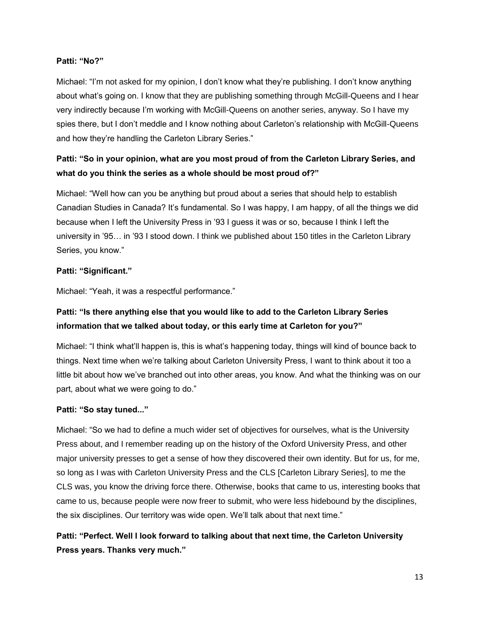### **Patti: "No?"**

Michael: "I'm not asked for my opinion, I don't know what they're publishing. I don't know anything about what's going on. I know that they are publishing something through McGill-Queens and I hear very indirectly because I'm working with McGill-Queens on another series, anyway. So I have my spies there, but I don't meddle and I know nothing about Carleton's relationship with McGill-Queens and how they're handling the Carleton Library Series."

## **Patti: "So in your opinion, what are you most proud of from the Carleton Library Series, and what do you think the series as a whole should be most proud of?"**

Michael: "Well how can you be anything but proud about a series that should help to establish Canadian Studies in Canada? It's fundamental. So I was happy, I am happy, of all the things we did because when I left the University Press in '93 I guess it was or so, because I think I left the university in '95… in '93 I stood down. I think we published about 150 titles in the Carleton Library Series, you know."

### **Patti: "Significant."**

Michael: "Yeah, it was a respectful performance."

### **Patti: "Is there anything else that you would like to add to the Carleton Library Series information that we talked about today, or this early time at Carleton for you?"**

Michael: "I think what'll happen is, this is what's happening today, things will kind of bounce back to things. Next time when we're talking about Carleton University Press, I want to think about it too a little bit about how we've branched out into other areas, you know. And what the thinking was on our part, about what we were going to do."

### **Patti: "So stay tuned..."**

Michael: "So we had to define a much wider set of objectives for ourselves, what is the University Press about, and I remember reading up on the history of the Oxford University Press, and other major university presses to get a sense of how they discovered their own identity. But for us, for me, so long as I was with Carleton University Press and the CLS [Carleton Library Series], to me the CLS was, you know the driving force there. Otherwise, books that came to us, interesting books that came to us, because people were now freer to submit, who were less hidebound by the disciplines, the six disciplines. Our territory was wide open. We'll talk about that next time."

**Patti: "Perfect. Well I look forward to talking about that next time, the Carleton University Press years. Thanks very much."**